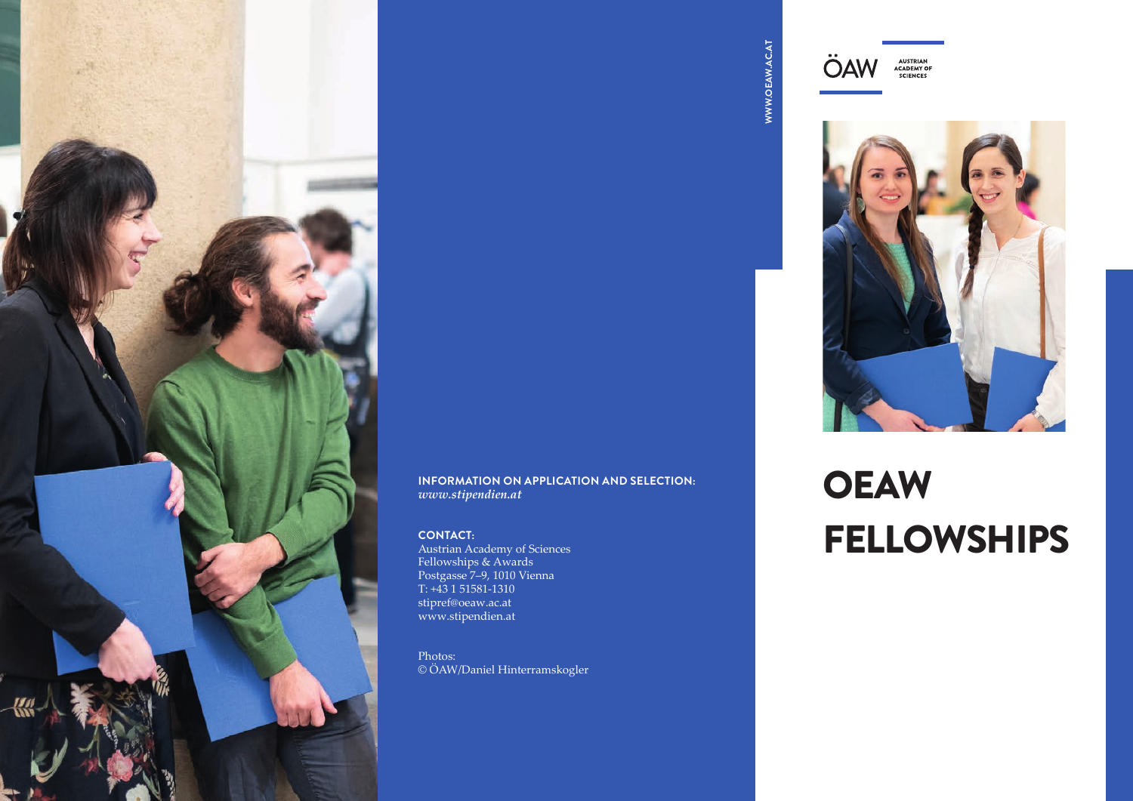

## WWW.OEAW.AC.AT **WWW.OEAW.AC.AT**





#### **INFORMATION ON APPLICATION AND SELECTION:** *www.stipendien.at*

#### **CONTACT:**

Austrian Academy of Sciences Fellowships & Awards Postgasse 7–9, 1010 Vienna T: +43 1 51581-1310 stipref@oeaw.ac.at www.stipendien.at

Photos: © ÖAW/Daniel Hinterramskogler

# **OEAW** FELLOWSHIPS